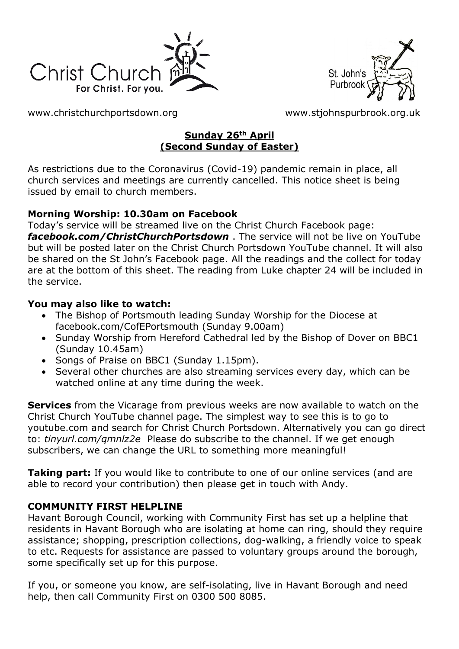



[www.christchurchportsdown.org](http://www.christchurchportsdown.org/) [www.stjohnspurbrook.org.uk](http://www.stjohnspurbrook.org.uk/)

### **Sunday 26th April (Second Sunday of Easter)**

As restrictions due to the Coronavirus (Covid-19) pandemic remain in place, all church services and meetings are currently cancelled. This notice sheet is being issued by email to church members.

## **Morning Worship: 10.30am on Facebook**

Today's service will be streamed live on the Christ Church Facebook page: *[facebook.com/ChristChurchPortsdown](http://www.facebook.com/ChristChurchPortsdown%20at%2010.30)* . The service will not be live on YouTube but will be posted later on the Christ Church Portsdown YouTube channel. It will also be shared on the St John's Facebook page. All the readings and the collect for today are at the bottom of this sheet. The reading from Luke chapter 24 will be included in the service.

## **You may also like to watch:**

- The Bishop of Portsmouth leading Sunday Worship for the Diocese at facebook.com/CofEPortsmouth (Sunday 9.00am)
- Sunday Worship from Hereford Cathedral led by the Bishop of Dover on BBC1 (Sunday 10.45am)
- Songs of Praise on BBC1 (Sunday 1.15pm).
- Several other churches are also streaming services every day, which can be watched online at any time during the week.

**Services** from the Vicarage from previous weeks are now available to watch on the Christ Church YouTube channel page. The simplest way to see this is to go to youtube.com and search for Christ Church Portsdown. Alternatively you can go direct to: *tinyurl.com/qmnlz2e* Please do subscribe to the channel. If we get enough subscribers, we can change the URL to something more meaningful!

**Taking part:** If you would like to contribute to one of our online services (and are able to record your contribution) then please get in touch with Andy.

## **COMMUNITY FIRST HELPLINE**

Havant Borough Council, working with Community First has set up a helpline that residents in Havant Borough who are isolating at home can ring, should they require assistance; shopping, prescription collections, dog-walking, a friendly voice to speak to etc. Requests for assistance are passed to voluntary groups around the borough, some specifically set up for this purpose.

If you, or someone you know, are self-isolating, live in Havant Borough and need help, then call Community First on 0300 500 8085.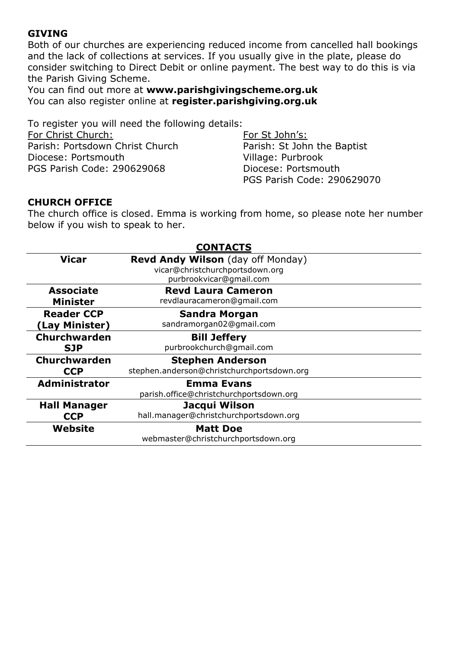#### **GIVING**

Both of our churches are experiencing reduced income from cancelled hall bookings and the lack of collections at services. If you usually give in the plate, please do consider switching to Direct Debit or online payment. The best way to do this is via the Parish Giving Scheme.

You can find out more at **[www.parishgivingscheme.org.uk](http://www.parishgivingscheme.org.uk/)** You can also register online at **register.parishgiving.org.uk**

To register you will need the following details: For Christ Church: Parish: Portsdown Christ Church Diocese: Portsmouth PGS Parish Code: 290629068

For St John's: Parish: St John the Baptist Village: Purbrook Diocese: Portsmouth PGS Parish Code: 290629070

#### **CHURCH OFFICE**

The church office is closed. Emma is working from home, so please note her number below if you wish to speak to her.

| <b>CONTACTS</b>      |                                            |
|----------------------|--------------------------------------------|
| <b>Vicar</b>         | Revd Andy Wilson (day off Monday)          |
|                      | vicar@christchurchportsdown.org            |
|                      | purbrookvicar@gmail.com                    |
| <b>Associate</b>     | <b>Revd Laura Cameron</b>                  |
| <b>Minister</b>      | revdlauracameron@gmail.com                 |
| <b>Reader CCP</b>    | <b>Sandra Morgan</b>                       |
| (Lay Minister)       | sandramorgan02@gmail.com                   |
| <b>Churchwarden</b>  | <b>Bill Jeffery</b>                        |
| <b>SJP</b>           | purbrookchurch@gmail.com                   |
| <b>Churchwarden</b>  | <b>Stephen Anderson</b>                    |
| <b>CCP</b>           | stephen.anderson@christchurchportsdown.org |
| <b>Administrator</b> | <b>Emma Evans</b>                          |
|                      | parish.office@christchurchportsdown.org    |
| <b>Hall Manager</b>  | Jacqui Wilson                              |
| <b>CCP</b>           | hall.manager@christchurchportsdown.org     |
| Website              | <b>Matt Doe</b>                            |
|                      | webmaster@christchurchportsdown.org        |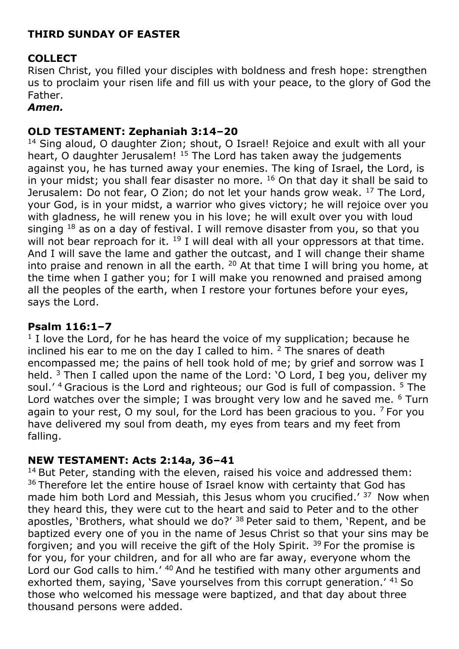# **THIRD SUNDAY OF EASTER**

# **COLLECT**

Risen Christ, you filled your disciples with boldness and fresh hope: strengthen us to proclaim your risen life and fill us with your peace, to the glory of God the Father.

## *Amen.*

## **OLD TESTAMENT: Zephaniah 3:14–20**

<sup>14</sup> Sing aloud, O daughter Zion; shout, O Israel! Rejoice and exult with all your heart, O daughter Jerusalem!<sup>15</sup> The Lord has taken away the judgements against you, he has turned away your enemies. The king of Israel, the Lord, is in your midst; you shall fear disaster no more. <sup>16</sup> On that day it shall be said to Jerusalem: Do not fear, O Zion; do not let your hands grow weak. <sup>17</sup> The Lord, your God, is in your midst, a warrior who gives victory; he will rejoice over you with gladness, he will renew you in his love; he will exult over you with loud singing  $18$  as on a day of festival. I will remove disaster from you, so that you will not bear reproach for it. <sup>19</sup> I will deal with all your oppressors at that time. And I will save the lame and gather the outcast, and I will change their shame into praise and renown in all the earth.  $20$  At that time I will bring you home, at the time when I gather you; for I will make you renowned and praised among all the peoples of the earth, when I restore your fortunes before your eyes, says the Lord.

## **Psalm 116:1–7**

 $1$  I love the Lord, for he has heard the voice of my supplication; because he inclined his ear to me on the day I called to him.  $2$  The snares of death encompassed me; the pains of hell took hold of me; by grief and sorrow was I held.  $3$  Then I called upon the name of the Lord: 'O Lord, I beg you, deliver my soul.' <sup>4</sup> Gracious is the Lord and righteous; our God is full of compassion. <sup>5</sup> The Lord watches over the simple; I was brought very low and he saved me. <sup>6</sup> Turn again to your rest, O my soul, for the Lord has been gracious to you.  $7$  For you have delivered my soul from death, my eyes from tears and my feet from falling.

## **NEW TESTAMENT: Acts 2:14a, 36–41**

 $14$  But Peter, standing with the eleven, raised his voice and addressed them: <sup>36</sup> Therefore let the entire house of Israel know with certainty that God has made him both Lord and Messiah, this Jesus whom you crucified.'  $37$  Now when they heard this, they were cut to the heart and said to Peter and to the other apostles, 'Brothers, what should we do?'  $38$  Peter said to them, 'Repent, and be baptized every one of you in the name of Jesus Christ so that your sins may be forgiven; and you will receive the gift of the Holy Spirit.  $39$  For the promise is for you, for your children, and for all who are far away, everyone whom the Lord our God calls to him.' <sup>40</sup> And he testified with many other arguments and exhorted them, saying, 'Save yourselves from this corrupt generation.' <sup>41</sup> So those who welcomed his message were baptized, and that day about three thousand persons were added.